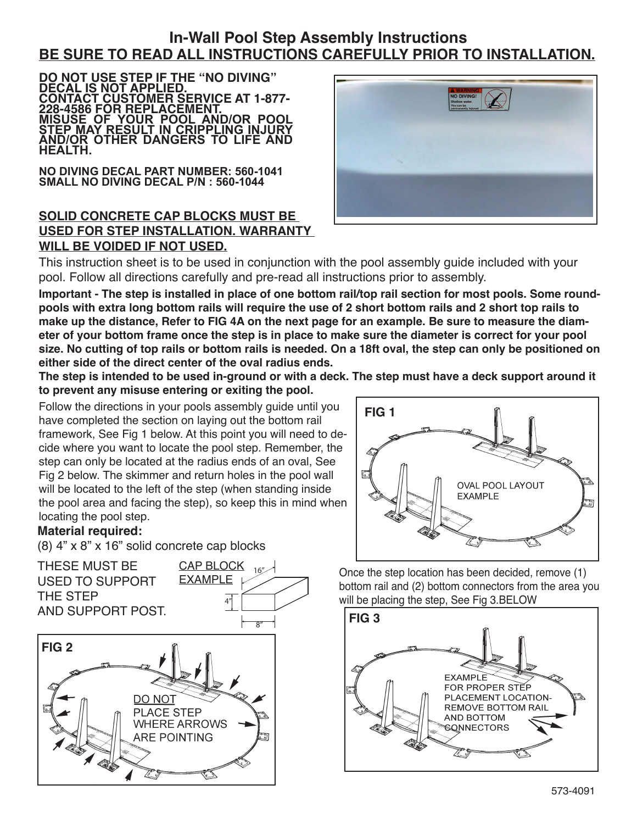# **In-Wall Pool Step Assembly Instructions BE SURE TO READ ALL INSTRUCTIONS CAREFULLY PRIOR TO INSTALLATION.**

**DO NOT USE STEP IF THE "NO DIVING" DECAL IS NOT APPLIED. CONTACT CUSTOMER SERVICE AT 1-877- 228-4586 FOR REPLACEMENT. MISUSE OF YOUR POOL AND/OR POOL STEP MAY RESULT IN CRIPPLING INJURY AND/OR OTHER DANGERS TO LIFE AND HEALTH.**

**NO DIVING DECAL PART NUMBER: 560-1041 SMALL NO DIVING DECAL P/N : 560-1044**

## **SOLID CONCRETE CAP BLOCKS MUST BE USED FOR STEP INSTALLATION. WARRANTY WILL BE VOIDED IF NOT USED.**



This instruction sheet is to be used in conjunction with the pool assembly guide included with your pool. Follow all directions carefully and pre-read all instructions prior to assembly.

**Important - The step is installed in place of one bottom rail/top rail section for most pools. Some roundpools with extra long bottom rails will require the use of 2 short bottom rails and 2 short top rails to make up the distance, Refer to FIG 4A on the next page for an example. Be sure to measure the diameter of your bottom frame once the step is in place to make sure the diameter is correct for your pool size. No cutting of top rails or bottom rails is needed. On a 18ft oval, the step can only be positioned on either side of the direct center of the oval radius ends.**

**The step is intended to be used in-ground or with a deck. The step must have a deck support around it to prevent any misuse entering or exiting the pool.**

Follow the directions in your pools assembly guide until you have completed the section on laying out the bottom rail framework, See Fig 1 below. At this point you will need to decide where you want to locate the pool step. Remember, the step can only be located at the radius ends of an oval, See Fig 2 below. The skimmer and return holes in the pool wall will be located to the left of the step (when standing inside the pool area and facing the step), so keep this in mind when locating the pool step.

## **Material required:**

(8) 4" x 8" x 16" solid concrete cap blocks





Once the step location has been decided, remove (1) bottom rail and (2) bottom connectors from the area you will be placing the step, See Fig 3.BELOW

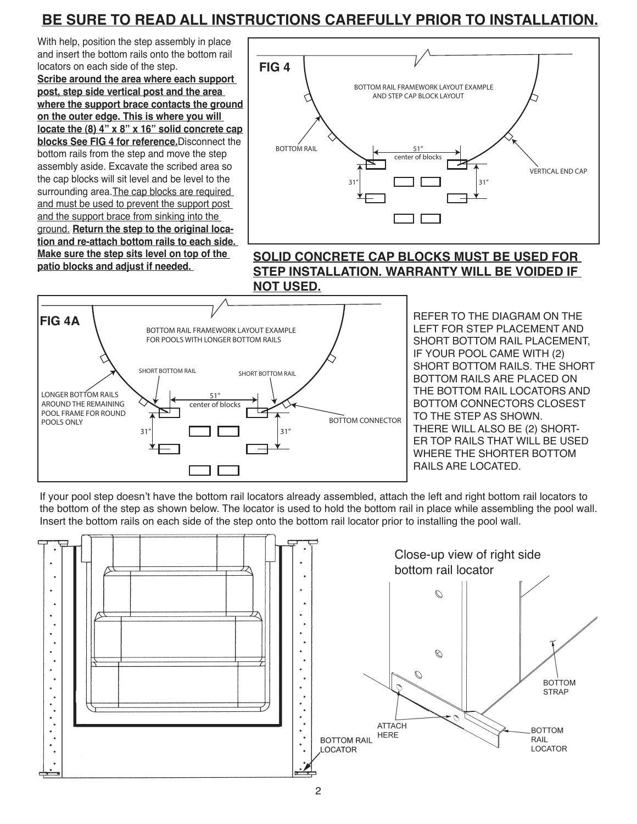# **BE SURE TO READ ALL INSTRUCTIONS CAREFULLY PRIOR TO INSTALLATION.**

With help, position the step assembly in place and insert the bottom rails onto the bottom rail locators on each side of the step.

**Scribe around the area where each support post, step side vertical post and the area where the support brace contacts the ground on the outer edge. This is where you will locate the (8) 4" x 8" x 16" solid concrete cap blocks See FIG 4 for reference.**Disconnect the bottom rails from the step and move the step assembly aside. Excavate the scribed area so the cap blocks will sit level and be level to the surrounding area. The cap blocks are required and must be used to prevent the support post and the support brace from sinking into the ground. **Return the step to the original location and re-attach bottom rails to each side. Make sure the step sits level on top of the patio blocks and adjust if needed.** 



#### **SOLID CONCRETE CAP BLOCKS MUST BE USED FOR STEP INSTALLATION. WARRANTY WILL BE VOIDED IF NOT USED.**



REFER TO THE DIAGRAM ON THE LEFT FOR STEP PLACEMENT AND SHORT BOTTOM RAIL PLACEMENT, IF YOUR POOL CAME WITH (2) SHORT BOTTOM RAILS. THE SHORT BOTTOM RAILS ARE PLACED ON THE BOTTOM RAIL LOCATORS AND BOTTOM CONNECTORS CLOSEST TO THE STEP AS SHOWN. THERE WILL ALSO BE (2) SHORT-ER TOP RAILS THAT WILL BE USED WHERE THE SHORTER BOTTOM RAILS ARE LOCATED.

If your pool step doesn't have the bottom rail locators already assembled, attach the left and right bottom rail locators to the bottom of the step as shown below. The locator is used to hold the bottom rail in place while assembling the pool wall. Insert the bottom rails on each side of the step onto the bottom rail locator prior to installing the pool wall.

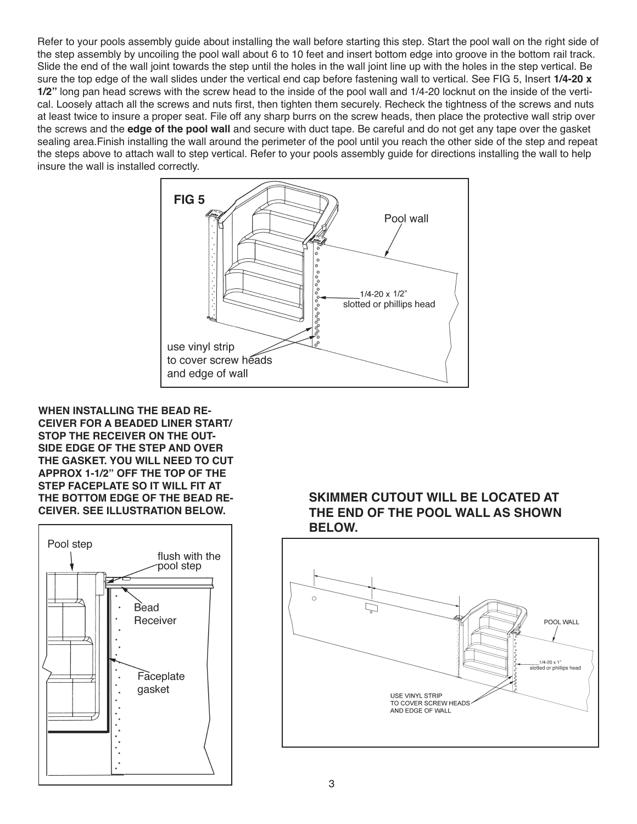Refer to your pools assembly guide about installing the wall before starting this step. Start the pool wall on the right side of the step assembly by uncoiling the pool wall about 6 to 10 feet and insert bottom edge into groove in the bottom rail track. Slide the end of the wall joint towards the step until the holes in the wall joint line up with the holes in the step vertical. Be sure the top edge of the wall slides under the vertical end cap before fastening wall to vertical. See FIG 5, Insert **1/4-20 x 1/2"** long pan head screws with the screw head to the inside of the pool wall and 1/4-20 locknut on the inside of the vertical. Loosely attach all the screws and nuts first, then tighten them securely. Recheck the tightness of the screws and nuts at least twice to insure a proper seat. File off any sharp burrs on the screw heads, then place the protective wall strip over the screws and the **edge of the pool wall** and secure with duct tape. Be careful and do not get any tape over the gasket sealing area.Finish installing the wall around the perimeter of the pool until you reach the other side of the step and repeat the steps above to attach wall to step vertical. Refer to your pools assembly guide for directions installing the wall to help insure the wall is installed correctly.



**WHEN INSTALLING THE BEAD RE-CEIVER FOR A BEADED LINER START/ STOP THE RECEIVER ON THE OUT-SIDE EDGE OF THE STEP AND OVER THE GASKET. YOU WILL NEED TO CUT APPROX 1-1/2" OFF THE TOP OF THE STEP FACEPLATE SO IT WILL FIT AT THE BOTTOM EDGE OF THE BEAD RE-CEIVER. SEE ILLUSTRATION BELOW.**



#### **SKIMMER CUTOUT WILL BE LOCATED AT THE END OF THE POOL WALL AS SHOWN BELOW.**

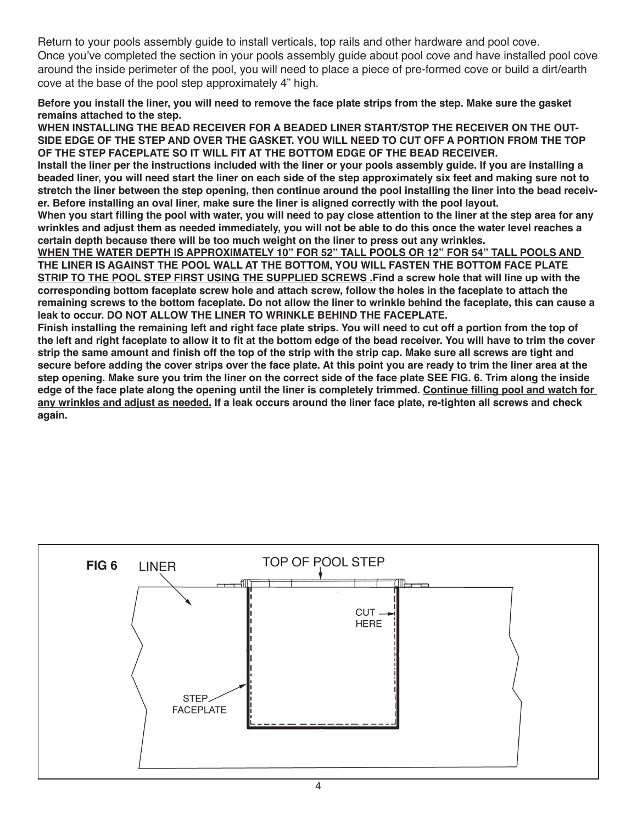Return to your pools assembly guide to install verticals, top rails and other hardware and pool cove. Once you've completed the section in your pools assembly guide about pool cove and have installed pool cove around the inside perimeter of the pool, you will need to place a piece of pre-formed cove or build a dirt/earth cove at the base of the pool step approximately 4" high.

**Before you install the liner, you will need to remove the face plate strips from the step. Make sure the gasket remains attached to the step.**

**WHEN INSTALLING THE BEAD RECEIVER FOR A BEADED LINER START/STOP THE RECEIVER ON THE OUT-SIDE EDGE OF THE STEP AND OVER THE GASKET. YOU WILL NEED TO CUT OFF A PORTION FROM THE TOP OF THE STEP FACEPLATE SO IT WILL FIT AT THE BOTTOM EDGE OF THE BEAD RECEIVER.**

**Install the liner per the instructions included with the liner or your pools assembly guide. If you are installing a beaded liner, you will need start the liner on each side of the step approximately six feet and making sure not to stretch the liner between the step opening, then continue around the pool installing the liner into the bead receiver. Before installing an oval liner, make sure the liner is aligned correctly with the pool layout.**

**When you start filling the pool with water, you will need to pay close attention to the liner at the step area for any wrinkles and adjust them as needed immediately, you will not be able to do this once the water level reaches a certain depth because there will be too much weight on the liner to press out any wrinkles.** 

**WHEN THE WATER DEPTH IS APPROXIMATELY 10" FOR 52" TALL POOLS OR 12" FOR 54" TALL POOLS AND THE LINER IS AGAINST THE POOL WALL AT THE BOTTOM, YOU WILL FASTEN THE BOTTOM FACE PLATE STRIP TO THE POOL STEP FIRST USING THE SUPPLIED SCREWS .Find a screw hole that will line up with the corresponding bottom faceplate screw hole and attach screw, follow the holes in the faceplate to attach the remaining screws to the bottom faceplate. Do not allow the liner to wrinkle behind the faceplate, this can cause a leak to occur. DO NOT ALLOW THE LINER TO WRINKLE BEHIND THE FACEPLATE.**

**Finish installing the remaining left and right face plate strips. You will need to cut off a portion from the top of the left and right faceplate to allow it to fit at the bottom edge of the bead receiver. You will have to trim the cover strip the same amount and finish off the top of the strip with the strip cap. Make sure all screws are tight and secure before adding the cover strips over the face plate. At this point you are ready to trim the liner area at the step opening. Make sure you trim the liner on the correct side of the face plate SEE FIG. 6. Trim along the inside edge of the face plate along the opening until the liner is completely trimmed. Continue filling pool and watch for any wrinkles and adjust as needed. If a leak occurs around the liner face plate, re-tighten all screws and check again.**

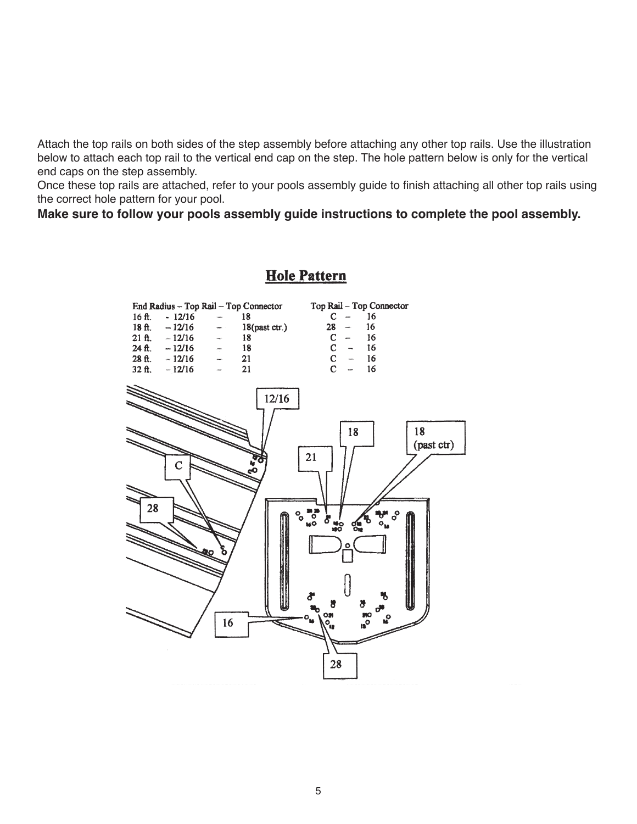Attach the top rails on both sides of the step assembly before attaching any other top rails. Use the illustration below to attach each top rail to the vertical end cap on the step. The hole pattern below is only for the vertical end caps on the step assembly.

Once these top rails are attached, refer to your pools assembly guide to finish attaching all other top rails using the correct hole pattern for your pool.

**Make sure to follow your pools assembly guide instructions to complete the pool assembly.**

# **Hole Pattern**